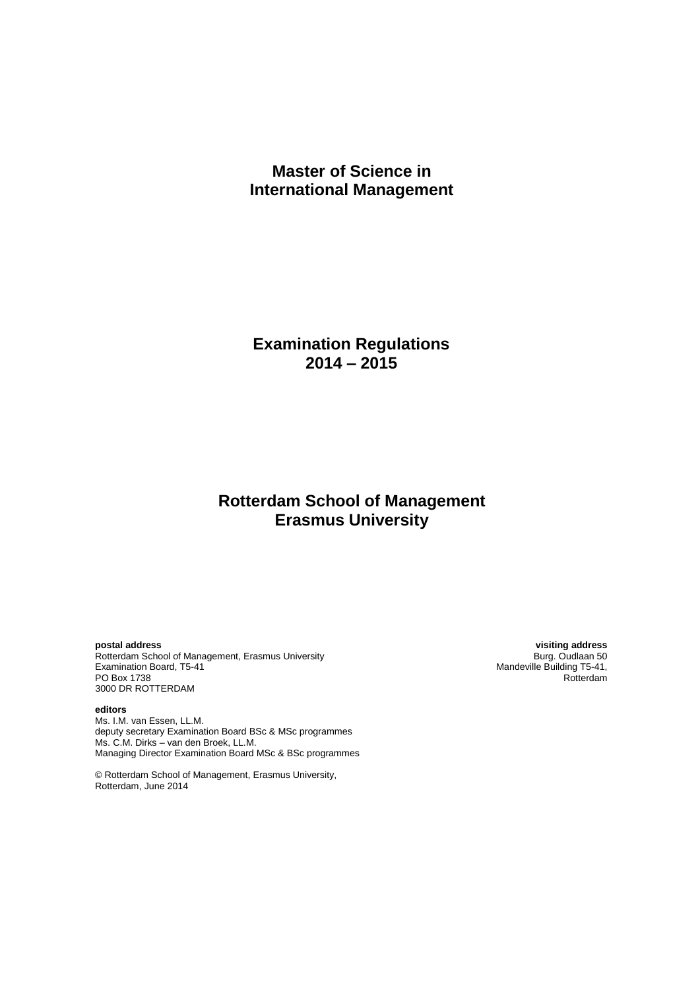# **Master of Science in International Management**

**Examination Regulations 2014 – 2015**

# **Rotterdam School of Management Erasmus University**

**postal address visiting address**

Rotterdam School of Management, Erasmus University<br>Examination Board, T5-41 Examination Board, T5-41 Management, Erasmus University<br>
Examination Board, T5-41 Mandeville Building T5-41,<br>
PO Box 1738 Rotterdam PO Box 1738 Rotterdam and the contract of the contract of the contract of the contract of the contract of the contract of the contract of the contract of the contract of the contract of the contract of the contract of the 3000 DR ROTTERDAM

**editors** Ms. I.M. van Essen, LL.M. deputy secretary Examination Board BSc & MSc programmes Ms. C.M. Dirks – van den Broek, LL.M. Managing Director Examination Board MSc & BSc programmes

© Rotterdam School of Management, Erasmus University, Rotterdam, June 2014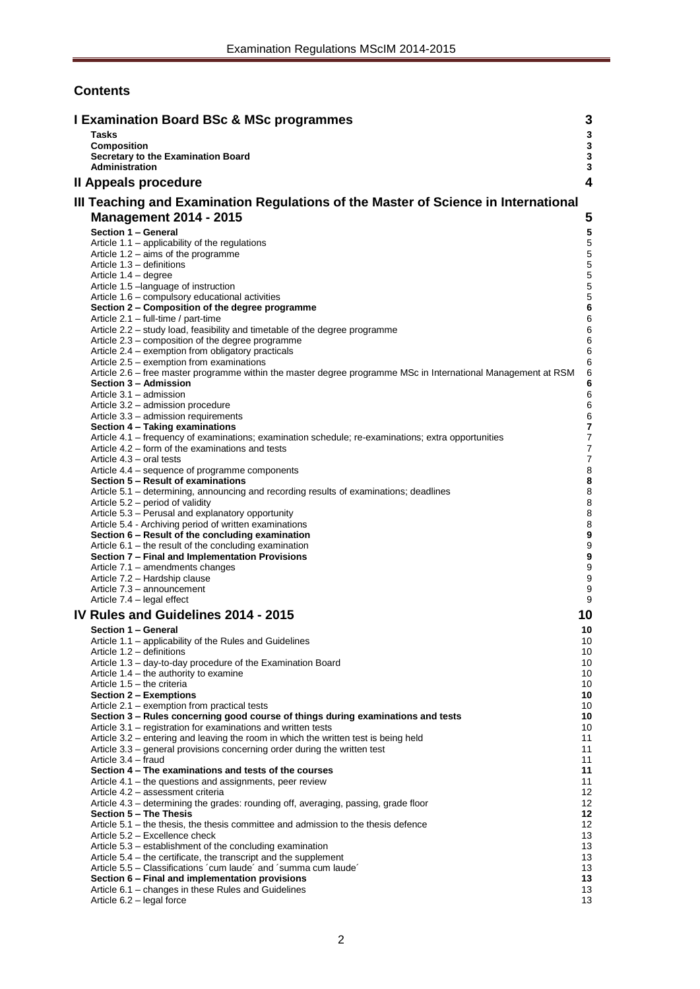# **Contents**

| <b>I Examination Board BSc &amp; MSc programmes</b>                                                                                                        | 3                          |
|------------------------------------------------------------------------------------------------------------------------------------------------------------|----------------------------|
| <b>Tasks</b>                                                                                                                                               | $\mathbf{3}$               |
| <b>Composition</b><br>Secretary to the Examination Board                                                                                                   | $\mathbf 3$<br>$\mathbf 3$ |
| <b>Administration</b>                                                                                                                                      | $\mathbf{3}$               |
| Il Appeals procedure                                                                                                                                       | 4                          |
| III Teaching and Examination Regulations of the Master of Science in International                                                                         |                            |
| <b>Management 2014 - 2015</b>                                                                                                                              | 5                          |
| Section 1 - General                                                                                                                                        | ${\bf 5}$                  |
| Article 1.1 – applicability of the regulations                                                                                                             | 5                          |
| Article $1.2 - \text{aims of the programme}$                                                                                                               | $\mathbf 5$                |
| Article 1.3 - definitions                                                                                                                                  | 5<br>$\mathbf 5$           |
| Article 1.4 - degree<br>Article 1.5 - language of instruction                                                                                              | 5                          |
| Article 1.6 – compulsory educational activities                                                                                                            | $\sqrt{5}$                 |
| Section 2 – Composition of the degree programme                                                                                                            | $\bf 6$                    |
| Article 2.1 - full-time / part-time<br>Article 2.2 - study load, feasibility and timetable of the degree programme                                         | 6<br>6                     |
| Article 2.3 – composition of the degree programme                                                                                                          | 6                          |
| Article 2.4 – exemption from obligatory practicals                                                                                                         | $\,6$                      |
| Article 2.5 – exemption from examinations<br>Article 2.6 – free master programme within the master degree programme MSc in International Management at RSM | 6<br>6                     |
| Section 3 - Admission                                                                                                                                      | 6                          |
| Article 3.1 - admission                                                                                                                                    | 6                          |
| Article 3.2 - admission procedure                                                                                                                          | 6                          |
| Article 3.3 - admission requirements<br>Section 4 - Taking examinations                                                                                    | 6<br>7                     |
| Article 4.1 – frequency of examinations; examination schedule; re-examinations; extra opportunities                                                        | $\boldsymbol{7}$           |
| Article 4.2 – form of the examinations and tests                                                                                                           | $\boldsymbol{7}$           |
| Article 4.3 – oral tests<br>Article 4.4 – sequence of programme components                                                                                 | 7<br>8                     |
| Section 5 - Result of examinations                                                                                                                         | 8                          |
| Article 5.1 – determining, announcing and recording results of examinations; deadlines                                                                     | 8                          |
| Article 5.2 – period of validity                                                                                                                           | 8<br>8                     |
| Article 5.3 - Perusal and explanatory opportunity<br>Article 5.4 - Archiving period of written examinations                                                | $\bf8$                     |
| Section 6 - Result of the concluding examination                                                                                                           | $\boldsymbol{9}$           |
| Article 6.1 – the result of the concluding examination                                                                                                     | $\boldsymbol{9}$           |
| Section 7 - Final and Implementation Provisions<br>Article 7.1 - amendments changes                                                                        | $\boldsymbol{9}$<br>9      |
| Article 7.2 - Hardship clause                                                                                                                              | 9                          |
| Article 7.3 - announcement                                                                                                                                 | 9                          |
| Article 7.4 - legal effect                                                                                                                                 | 9                          |
| IV Rules and Guidelines 2014 - 2015                                                                                                                        | 10                         |
| Section 1 - General                                                                                                                                        | 10                         |
| Article 1.1 - applicability of the Rules and Guidelines<br>Article 1.2 – definitions                                                                       | 10<br>10                   |
| Article 1.3 - day-to-day procedure of the Examination Board                                                                                                | 10                         |
| Article $1.4$ – the authority to examine                                                                                                                   | 10                         |
| Article 1.5 - the criteria<br>Section 2 - Exemptions                                                                                                       | 10<br>10                   |
| Article 2.1 - exemption from practical tests                                                                                                               | 10                         |
| Section 3 - Rules concerning good course of things during examinations and tests                                                                           | 10                         |
| Article 3.1 – registration for examinations and written tests<br>Article 3.2 – entering and leaving the room in which the written test is being held       | 10<br>11                   |
| Article 3.3 – general provisions concerning order during the written test                                                                                  | 11                         |
| Article 3.4 - fraud                                                                                                                                        | 11                         |
| Section 4 – The examinations and tests of the courses<br>Article 4.1 – the questions and assignments, peer review                                          | 11<br>11                   |
| Article 4.2 - assessment criteria                                                                                                                          | 12                         |
| Article 4.3 – determining the grades: rounding off, averaging, passing, grade floor                                                                        | 12                         |
| Section 5 - The Thesis                                                                                                                                     | 12                         |
| Article $5.1$ – the thesis, the thesis committee and admission to the thesis defence<br>Article 5.2 - Excellence check                                     | 12 <sup>°</sup><br>13      |
| Article 5.3 – establishment of the concluding examination                                                                                                  | 13                         |
| Article 5.4 – the certificate, the transcript and the supplement                                                                                           | 13                         |
| Article 5.5 – Classifications 'cum laude' and 'summa cum laude'<br>Section 6 - Final and implementation provisions                                         | 13<br>13                   |
| Article 6.1 – changes in these Rules and Guidelines                                                                                                        | 13                         |
| Article 6.2 - legal force                                                                                                                                  | 13                         |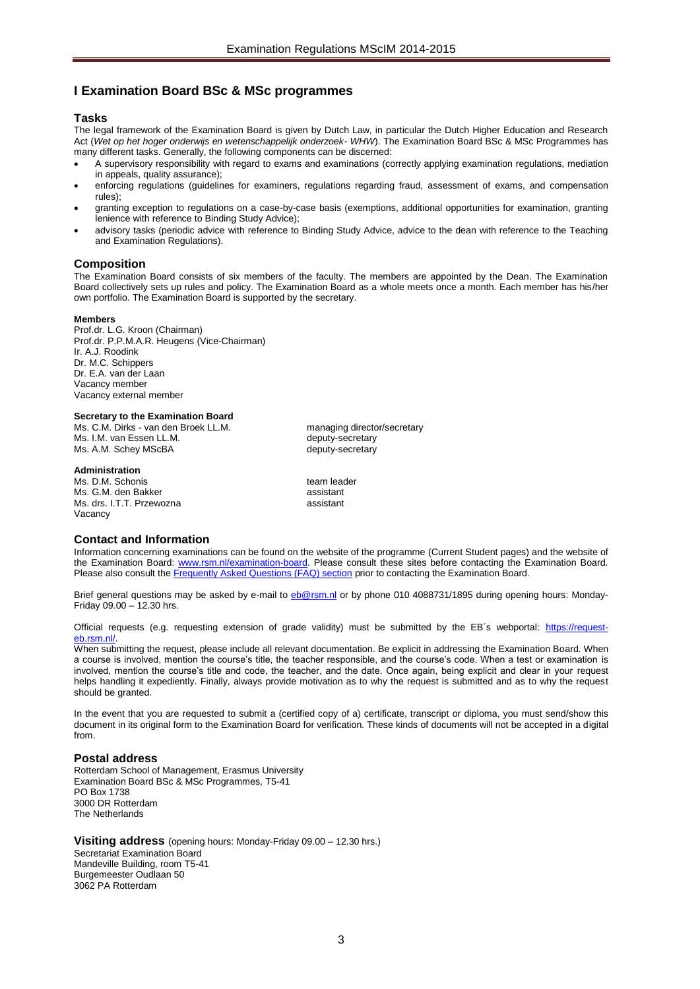# <span id="page-2-0"></span>**I Examination Board BSc & MSc programmes**

### <span id="page-2-1"></span>**Tasks**

The legal framework of the Examination Board is given by Dutch Law, in particular the Dutch Higher Education and Research Act (*Wet op het hoger onderwijs en wetenschappelijk onderzoek- WHW*). The Examination Board BSc & MSc Programmes has many different tasks. Generally, the following components can be discerned:

- A supervisory responsibility with regard to exams and examinations (correctly applying examination regulations, mediation in appeals, quality assurance);
- enforcing regulations (guidelines for examiners, regulations regarding fraud, assessment of exams, and compensation rules);
- granting exception to regulations on a case-by-case basis (exemptions, additional opportunities for examination, granting lenience with reference to Binding Study Advice);
- advisory tasks (periodic advice with reference to Binding Study Advice, advice to the dean with reference to the Teaching and Examination Regulations).

# <span id="page-2-2"></span>**Composition**

The Examination Board consists of six members of the faculty. The members are appointed by the Dean. The Examination Board collectively sets up rules and policy. The Examination Board as a whole meets once a month. Each member has his/her own portfolio. The Examination Board is supported by the secretary.

#### **Members**

Prof.dr. L.G. Kroon (Chairman) Prof.dr. P.P.M.A.R. Heugens (Vice-Chairman) Ir. A.J. Roodink Dr. M.C. Schippers Dr. E.A. van der Laan Vacancy member Vacancy external member

### <span id="page-2-3"></span>**Secretary to the Examination Board**

Ms. C.M. Dirks - van den Broek LL.M. managing director/secretary Ms. I.M. van Essen LL.M.<br>Ms. A.M. Schey MScBA deputy-secretary Ms. A.M. Schey MScBA

#### <span id="page-2-4"></span>**Administration**

Ms. D.M. Schonis The Contract of team leader Ms. G.M. den Bakker assistant Ms. drs. I.T.T. Przewozna assistant Vacancy

#### **Contact and Information**

Information concerning examinations can be found on the website of the programme (Current Student pages) and the website of the Examination Board: [www.rsm.nl/examination-board.](http://www.rsm.nl/examination-board) Please consult these sites before contacting the Examination Board. Please also consult th[e Frequently Asked Questions \(FAQ\) section](http://www.rsm.nl/examination-board/frequently-asked-questions-faqs/) prior to contacting the Examination Board.

Brief general questions may be asked by e-mail to [eb@rsm.nl](mailto:eb@rsm.nl) or by phone 010 4088731/1895 during opening hours: Monday-Friday 09.00 – 12.30 hrs.

Official requests (e.g. requesting extension of grade validity) must be submitted by the EB´s webportal: [https://request](https://outlookweb.eur.nl/owa/redir.aspx?C=shB4IMKmlk6TlJpPlB047acileaxXdEIE7A10lIk2A3HlL6DMkPFtn8cEd4QuLBFOwpk7HosdC4.&URL=https%3a%2f%2frequest-eb.rsm.nl%2f)eb.rsm.nl/

When submitting the request, please include all relevant documentation. Be explicit in addressing the Examination Board. When a course is involved, mention the course's title, the teacher responsible, and the course's code. When a test or examination is involved, mention the course's title and code, the teacher, and the date. Once again, being explicit and clear in your request helps handling it expediently. Finally, always provide motivation as to why the request is submitted and as to why the request should be granted.

In the event that you are requested to submit a (certified copy of a) certificate, transcript or diploma, you must send/show this document in its original form to the Examination Board for verification. These kinds of documents will not be accepted in a digital from.

# **Postal address**

Rotterdam School of Management, Erasmus University Examination Board BSc & MSc Programmes, T5-41 PO Box 1738 3000 DR Rotterdam The Netherlands

**Visiting address** (opening hours: Monday-Friday 09.00 – 12.30 hrs.) Secretariat Examination Board Mandeville Building, room T5-41 Burgemeester Oudlaan 50 3062 PA Rotterdam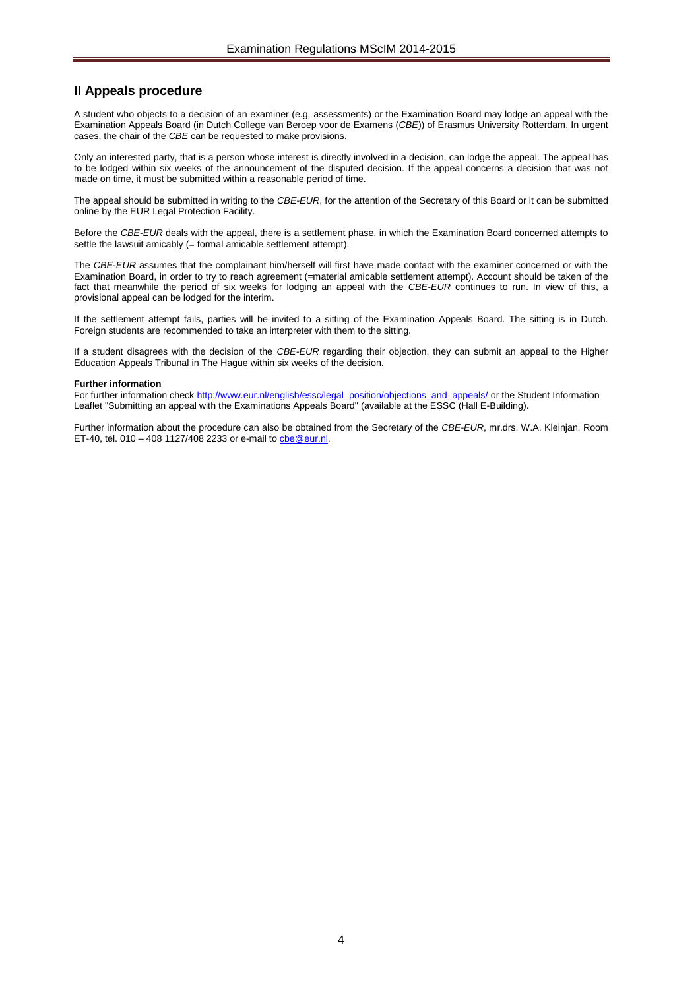# <span id="page-3-0"></span>**II Appeals procedure**

A student who objects to a decision of an examiner (e.g. assessments) or the Examination Board may lodge an appeal with the Examination Appeals Board (in Dutch College van Beroep voor de Examens (*CBE*)) of Erasmus University Rotterdam. In urgent cases, the chair of the *CBE* can be requested to make provisions.

Only an interested party, that is a person whose interest is directly involved in a decision, can lodge the appeal. The appeal has to be lodged within six weeks of the announcement of the disputed decision. If the appeal concerns a decision that was not made on time, it must be submitted within a reasonable period of time.

The appeal should be submitted in writing to the *CBE*-*EUR*, for the attention of the Secretary of this Board or it can be submitted online by the EUR Legal Protection Facility.

Before the *CBE*-*EUR* deals with the appeal, there is a settlement phase, in which the Examination Board concerned attempts to settle the lawsuit amicably (= formal amicable settlement attempt).

The *CBE*-*EUR* assumes that the complainant him/herself will first have made contact with the examiner concerned or with the Examination Board, in order to try to reach agreement (=material amicable settlement attempt). Account should be taken of the fact that meanwhile the period of six weeks for lodging an appeal with the *CBE*-*EUR* continues to run. In view of this, a provisional appeal can be lodged for the interim.

If the settlement attempt fails, parties will be invited to a sitting of the Examination Appeals Board. The sitting is in Dutch. Foreign students are recommended to take an interpreter with them to the sitting.

If a student disagrees with the decision of the *CBE-EUR* regarding their objection, they can submit an appeal to the Higher Education Appeals Tribunal in The Hague within six weeks of the decision.

#### **Further information**

For further information chec[k http://www.eur.nl/english/essc/legal\\_position/objections\\_and\\_appeals/](http://www.eur.nl/english/essc/legal_position/objections_and_appeals/) or the Student Information Leaflet "Submitting an appeal with the Examinations Appeals Board" (available at the ESSC (Hall E-Building).

Further information about the procedure can also be obtained from the Secretary of the *CBE*-*EUR*, mr.drs. W.A. Kleinjan, Room ET-40, tel. 010 – 408 1127/408 2233 or e-mail t[o cbe@eur.nl.](mailto:cbe@eur.nl)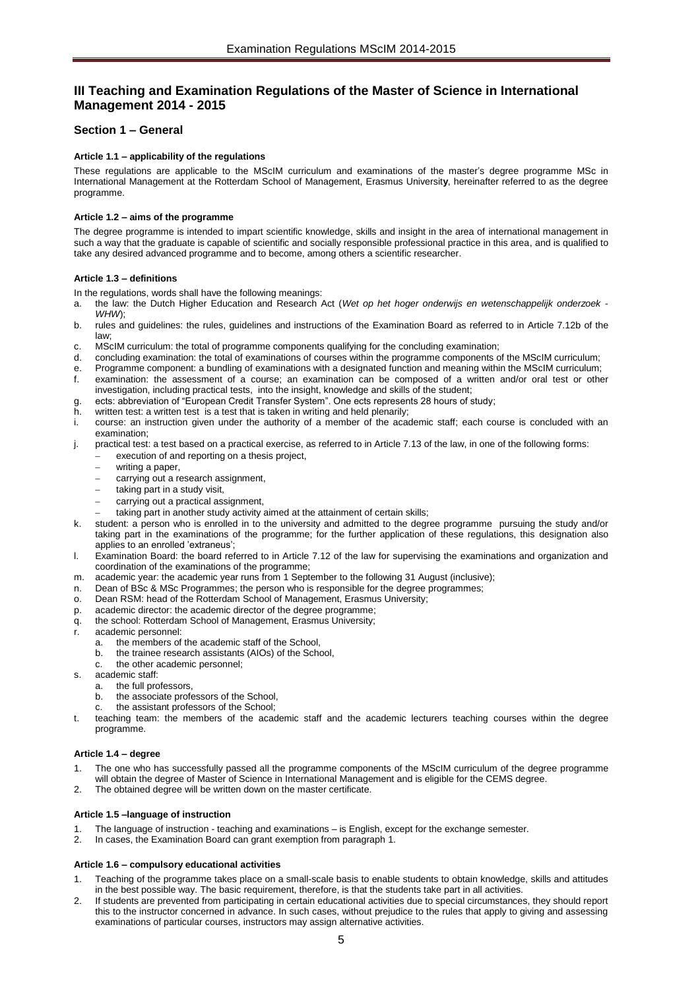# <span id="page-4-0"></span>**III Teaching and Examination Regulations of the Master of Science in International Management 2014 - 2015**

# <span id="page-4-2"></span><span id="page-4-1"></span>**Section 1 – General**

# **Article 1.1 – applicability of the regulations**

These regulations are applicable to the MScIM curriculum and examinations of the master's degree programme MSc in International Management at the Rotterdam School of Management, Erasmus Universit**y**, hereinafter referred to as the degree programme.

# <span id="page-4-3"></span>**Article 1.2 – aims of the programme**

The degree programme is intended to impart scientific knowledge, skills and insight in the area of international management in such a way that the graduate is capable of scientific and socially responsible professional practice in this area, and is qualified to take any desired advanced programme and to become, among others a scientific researcher.

#### <span id="page-4-4"></span>**Article 1.3 – definitions**

In the regulations, words shall have the following meanings:

- a. the law: the Dutch Higher Education and Research Act (*Wet op het hoger onderwijs en wetenschappelijk onderzoek WHW*);
- b. rules and guidelines: the rules, guidelines and instructions of the Examination Board as referred to in Article 7.12b of the law;
- c. MScIM curriculum: the total of programme components qualifying for the concluding examination;
- d. concluding examination: the total of examinations of courses within the programme components of the MScIM curriculum;
- Programme component: a bundling of examinations with a designated function and meaning within the MScIM curriculum; examination: the assessment of a course; an examination can be composed of a written and/or oral test or other
- investigation, including practical tests, into the insight, knowledge and skills of the student;
- g. ects: abbreviation of "European Credit Transfer System". One ects represents 28 hours of study;
- written test: a written test is a test that is taken in writing and held plenarily;
- i. course: an instruction given under the authority of a member of the academic staff; each course is concluded with an examination;
- j. practical test: a test based on a practical exercise, as referred to in Article 7.13 of the law, in one of the following forms: execution of and reporting on a thesis project,
	- writing a paper,
	- carrying out a research assignment,
	-
	- taking part in a study visit, carrying out a practical assignment,
	- taking part in another study activity aimed at the attainment of certain skills;
- k. student: a person who is enrolled in to the university and admitted to the degree programme pursuing the study and/or taking part in the examinations of the programme; for the further application of these regulations, this designation also applies to an enrolled 'extraneus';
- l. Examination Board: the board referred to in Article 7.12 of the law for supervising the examinations and organization and coordination of the examinations of the programme;
- m. academic year: the academic year runs from 1 September to the following 31 August (inclusive);
- n. Dean of BSc & MSc Programmes; the person who is responsible for the degree programmes;
- o. Dean RSM: head of the Rotterdam School of Management, Erasmus University;
- p. academic director: the academic director of the degree programme;
- q. the school: Rotterdam School of Management, Erasmus University;
- r. academic personnel:
	- a. the members of the academic staff of the School,
	- b. the trainee research assistants (AIOs) of the School,
	- c. the other academic personnel;
- s. academic staff:
	- a. the full professors,
	- b. the associate professors of the School,
		- the assistant professors of the School;
- teaching team: the members of the academic staff and the academic lecturers teaching courses within the degree programme.

#### <span id="page-4-5"></span>**Article 1.4 – degree**

- The one who has successfully passed all the programme components of the MScIM curriculum of the degree programme will obtain the degree of Master of Science in International Management and is eligible for the CEMS degree.
- <span id="page-4-6"></span>2. The obtained degree will be written down on the master certificate.

#### **Article 1.5 –language of instruction**

- The language of instruction teaching and examinations is English, except for the exchange semester.
- <span id="page-4-7"></span>2. In cases, the Examination Board can grant exemption from paragraph 1.

#### **Article 1.6 – compulsory educational activities**

- 1. Teaching of the programme takes place on a small-scale basis to enable students to obtain knowledge, skills and attitudes in the best possible way. The basic requirement, therefore, is that the students take part in all activities.
- 2. If students are prevented from participating in certain educational activities due to special circumstances, they should report this to the instructor concerned in advance. In such cases, without prejudice to the rules that apply to giving and assessing examinations of particular courses, instructors may assign alternative activities.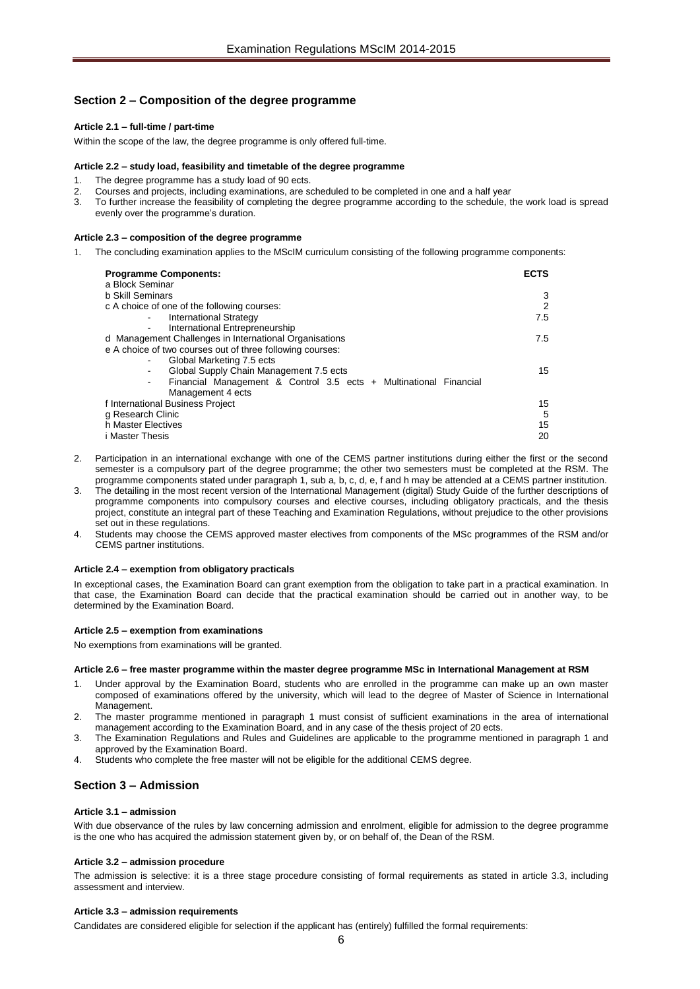# <span id="page-5-1"></span><span id="page-5-0"></span>**Section 2 – Composition of the degree programme**

#### **Article 2.1 – full-time / part-time**

<span id="page-5-2"></span>Within the scope of the law, the degree programme is only offered full-time.

#### **Article 2.2 – study load, feasibility and timetable of the degree programme**

- The degree programme has a study load of 90 ects.
- 2. Courses and projects, including examinations, are scheduled to be completed in one and a half year<br>2. To further increase the feasibility of completing the degree programme according to the schedule to
- 3. To further increase the feasibility of completing the degree programme according to the schedule, the work load is spread evenly over the programme's duration.

#### <span id="page-5-3"></span>**Article 2.3 – composition of the degree programme**

1. The concluding examination applies to the MScIM curriculum consisting of the following programme components:

| <b>Programme Components:</b>                                                                      | <b>ECTS</b> |
|---------------------------------------------------------------------------------------------------|-------------|
| a Block Seminar                                                                                   |             |
| <b>b Skill Seminars</b>                                                                           | 3           |
| c A choice of one of the following courses:                                                       | 2           |
| <b>International Strategy</b><br>$\qquad \qquad \blacksquare$                                     | 7.5         |
| International Entrepreneurship<br>$\blacksquare$                                                  |             |
| d Management Challenges in International Organisations                                            | 7.5         |
| e A choice of two courses out of three following courses:                                         |             |
| Global Marketing 7.5 ects<br>$\blacksquare$                                                       |             |
| Global Supply Chain Management 7.5 ects<br>$\qquad \qquad \blacksquare$                           | 15          |
| Financial Management & Control 3.5 ects + Multinational Financial<br>$\qquad \qquad \blacksquare$ |             |
| Management 4 ects                                                                                 |             |
| f International Business Project                                                                  | 15          |
| g Research Clinic                                                                                 | 5           |
| h Master Electives                                                                                | 15          |
|                                                                                                   |             |
| i Master Thesis                                                                                   | 20          |

- Participation in an international exchange with one of the CEMS partner institutions during either the first or the second semester is a compulsory part of the degree programme; the other two semesters must be completed at the RSM. The programme components stated under paragraph 1, sub a, b, c, d, e, f and h may be attended at a CEMS partner institution.
- 3. The detailing in the most recent version of the International Management (digital) Study Guide of the further descriptions of programme components into compulsory courses and elective courses, including obligatory practicals, and the thesis project, constitute an integral part of these Teaching and Examination Regulations, without prejudice to the other provisions set out in these regulations.
- Students may choose the CEMS approved master electives from components of the MSc programmes of the RSM and/or CEMS partner institutions.

#### <span id="page-5-4"></span>**Article 2.4 – exemption from obligatory practicals**

In exceptional cases, the Examination Board can grant exemption from the obligation to take part in a practical examination. In that case, the Examination Board can decide that the practical examination should be carried out in another way, to be determined by the Examination Board.

#### <span id="page-5-5"></span>**Article 2.5 – exemption from examinations**

<span id="page-5-6"></span>No exemptions from examinations will be granted.

#### **Article 2.6 – free master programme within the master degree programme MSc in International Management at RSM**

- Under approval by the Examination Board, students who are enrolled in the programme can make up an own master composed of examinations offered by the university, which will lead to the degree of Master of Science in International Management.
- 2. The master programme mentioned in paragraph 1 must consist of sufficient examinations in the area of international management according to the Examination Board, and in any case of the thesis project of 20 ects.
- 3. The Examination Regulations and Rules and Guidelines are applicable to the programme mentioned in paragraph 1 and approved by the Examination Board.
- 4. Students who complete the free master will not be eligible for the additional CEMS degree.

# <span id="page-5-8"></span><span id="page-5-7"></span>**Section 3 – Admission**

#### **Article 3.1 – admission**

With due observance of the rules by law concerning admission and enrolment, eligible for admission to the degree programme is the one who has acquired the admission statement given by, or on behalf of, the Dean of the RSM.

#### <span id="page-5-9"></span>**Article 3.2 – admission procedure**

The admission is selective: it is a three stage procedure consisting of formal requirements as stated in article 3.3, including assessment and interview.

#### <span id="page-5-10"></span>**Article 3.3 – admission requirements**

Candidates are considered eligible for selection if the applicant has (entirely) fulfilled the formal requirements: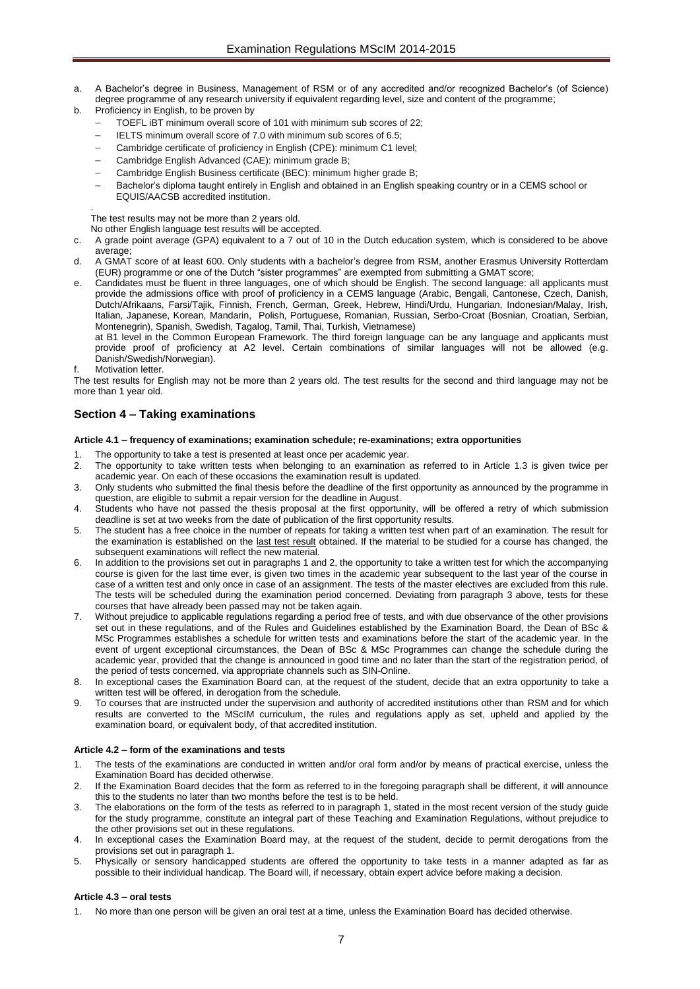- a. A Bachelor's degree in Business, Management of RSM or of any accredited and/or recognized Bachelor's (of Science) degree programme of any research university if equivalent regarding level, size and content of the programme;
- b. Proficiency in English, to be proven by
	- TOEFL iBT minimum overall score of 101 with minimum sub scores of 22;
	- IELTS minimum overall score of 7.0 with minimum sub scores of 6.5;
	- Cambridge certificate of proficiency in English (CPE): minimum C1 level;
	- Cambridge English Advanced (CAE): minimum grade B;
	- Cambridge English Business certificate (BEC): minimum higher grade B;
	- Bachelor's diploma taught entirely in English and obtained in an English speaking country or in a CEMS school or EQUIS/AACSB accredited institution.

The test results may not be more than 2 years old.

No other English language test results will be accepted.

- c. A grade point average (GPA) equivalent to a 7 out of 10 in the Dutch education system, which is considered to be above average;
- d. A GMAT score of at least 600. Only students with a bachelor's degree from RSM, another Erasmus University Rotterdam (EUR) programme or one of the Dutch "sister programmes" are exempted from submitting a GMAT score;
- e. Candidates must be fluent in three languages, one of which should be English. The second language: all applicants must provide the admissions office with proof of proficiency in a CEMS language (Arabic, Bengali, Cantonese, Czech, Danish, Dutch/Afrikaans, Farsi/Tajik, Finnish, French, German, Greek, Hebrew, Hindi/Urdu, Hungarian, Indonesian/Malay, Irish, Italian, Japanese, Korean, Mandarin, Polish, Portuguese, Romanian, Russian, Serbo-Croat (Bosnian, Croatian, Serbian, Montenegrin), Spanish, Swedish, Tagalog, Tamil, Thai, Turkish, Vietnamese)

at B1 level in the Common European Framework. The third foreign language can be any language and applicants must provide proof of proficiency at A2 level. Certain combinations of similar languages will not be allowed (e.g. Danish/Swedish/Norwegian).

Motivation letter.

.

The test results for English may not be more than 2 years old. The test results for the second and third language may not be more than 1 year old.

# <span id="page-6-1"></span><span id="page-6-0"></span>**Section 4 – Taking examinations**

#### **Article 4.1 – frequency of examinations; examination schedule; re-examinations; extra opportunities**

- The opportunity to take a test is presented at least once per academic year.
- 2. The opportunity to take written tests when belonging to an examination as referred to in Article 1.3 is given twice per academic year. On each of these occasions the examination result is updated.
- 3. Only students who submitted the final thesis before the deadline of the first opportunity as announced by the programme in question, are eligible to submit a repair version for the deadline in August.
- 4. Students who have not passed the thesis proposal at the first opportunity, will be offered a retry of which submission deadline is set at two weeks from the date of publication of the first opportunity results.
- 5. The student has a free choice in the number of repeats for taking a written test when part of an examination. The result for the examination is established on the last test result obtained. If the material to be studied for a course has changed, the subsequent examinations will reflect the new material.
- In addition to the provisions set out in paragraphs 1 and 2, the opportunity to take a written test for which the accompanying course is given for the last time ever, is given two times in the academic year subsequent to the last year of the course in case of a written test and only once in case of an assignment. The tests of the master electives are excluded from this rule. The tests will be scheduled during the examination period concerned. Deviating from paragraph 3 above, tests for these courses that have already been passed may not be taken again.
- 7. Without prejudice to applicable regulations regarding a period free of tests, and with due observance of the other provisions set out in these regulations, and of the Rules and Guidelines established by the Examination Board, the Dean of BSc & MSc Programmes establishes a schedule for written tests and examinations before the start of the academic year. In the event of urgent exceptional circumstances, the Dean of BSc & MSc Programmes can change the schedule during the academic year, provided that the change is announced in good time and no later than the start of the registration period, of the period of tests concerned, via appropriate channels such as SIN-Online.
- In exceptional cases the Examination Board can, at the request of the student, decide that an extra opportunity to take a written test will be offered, in derogation from the schedule.
- 9. To courses that are instructed under the supervision and authority of accredited institutions other than RSM and for which results are converted to the MScIM curriculum, the rules and regulations apply as set, upheld and applied by the examination board, or equivalent body, of that accredited institution.

# <span id="page-6-2"></span>**Article 4.2 – form of the examinations and tests**

- 1. The tests of the examinations are conducted in written and/or oral form and/or by means of practical exercise, unless the Examination Board has decided otherwise.
- 2. If the Examination Board decides that the form as referred to in the foregoing paragraph shall be different, it will announce this to the students no later than two months before the test is to be held.
- 3. The elaborations on the form of the tests as referred to in paragraph 1, stated in the most recent version of the study guide for the study programme, constitute an integral part of these Teaching and Examination Regulations, without prejudice to the other provisions set out in these regulations.
- 4. In exceptional cases the Examination Board may, at the request of the student, decide to permit derogations from the provisions set out in paragraph 1.
- 5. Physically or sensory handicapped students are offered the opportunity to take tests in a manner adapted as far as possible to their individual handicap. The Board will, if necessary, obtain expert advice before making a decision.

#### <span id="page-6-3"></span>**Article 4.3 – oral tests**

1. No more than one person will be given an oral test at a time, unless the Examination Board has decided otherwise.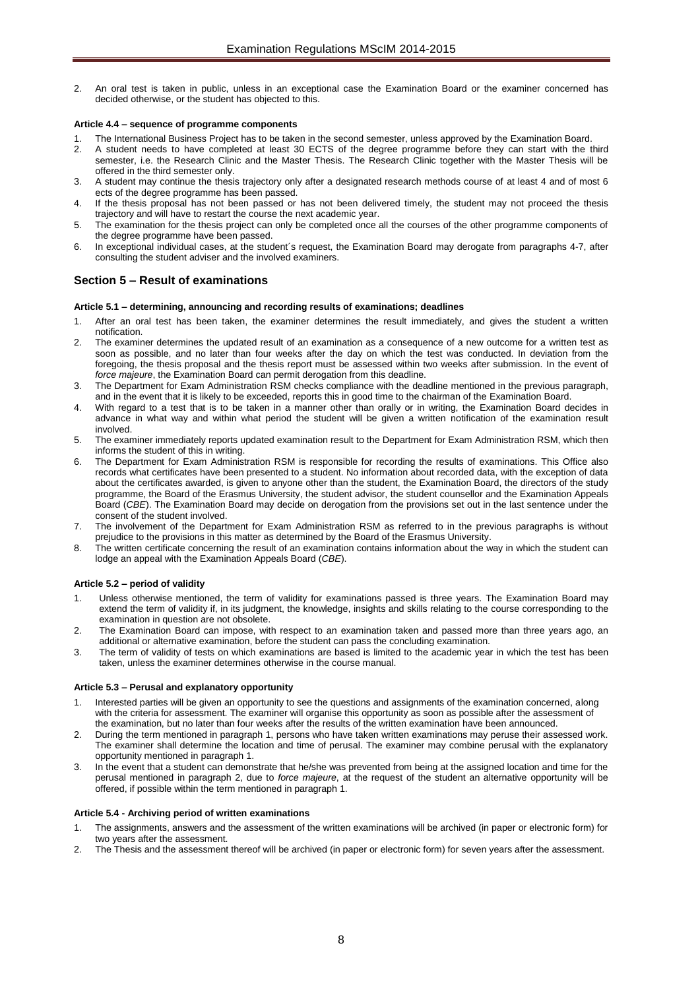2. An oral test is taken in public, unless in an exceptional case the Examination Board or the examiner concerned has decided otherwise, or the student has objected to this.

#### <span id="page-7-0"></span>**Article 4.4 – sequence of programme components**

- 1. The International Business Project has to be taken in the second semester, unless approved by the Examination Board.<br>2. A student needs to have completed at least 30 ECTS of the degree programme before they can start wi
- 2. A student needs to have completed at least 30 ECTS of the degree programme before they can start with the third semester, i.e. the Research Clinic and the Master Thesis. The Research Clinic together with the Master Thesis will be offered in the third semester only.
- 3. A student may continue the thesis trajectory only after a designated research methods course of at least 4 and of most 6 ects of the degree programme has been passed.
- 4. If the thesis proposal has not been passed or has not been delivered timely, the student may not proceed the thesis trajectory and will have to restart the course the next academic year.
- 5. The examination for the thesis project can only be completed once all the courses of the other programme components of the degree programme have been passed.
- 6. In exceptional individual cases, at the student´s request, the Examination Board may derogate from paragraphs 4-7, after consulting the student adviser and the involved examiners.

# <span id="page-7-1"></span>**Section 5 – Result of examinations**

### <span id="page-7-2"></span>**Article 5.1 – determining, announcing and recording results of examinations; deadlines**

- 1. After an oral test has been taken, the examiner determines the result immediately, and gives the student a written notification.
- 2. The examiner determines the updated result of an examination as a consequence of a new outcome for a written test as soon as possible, and no later than four weeks after the day on which the test was conducted. In deviation from the foregoing, the thesis proposal and the thesis report must be assessed within two weeks after submission. In the event of *force majeure*, the Examination Board can permit derogation from this deadline.
- 3. The Department for Exam Administration RSM checks compliance with the deadline mentioned in the previous paragraph, and in the event that it is likely to be exceeded, reports this in good time to the chairman of the Examination Board.
- 4. With regard to a test that is to be taken in a manner other than orally or in writing, the Examination Board decides in advance in what way and within what period the student will be given a written notification of the examination result involved.
- 5. The examiner immediately reports updated examination result to the Department for Exam Administration RSM, which then informs the student of this in writing.
- The Department for Exam Administration RSM is responsible for recording the results of examinations. This Office also records what certificates have been presented to a student. No information about recorded data, with the exception of data about the certificates awarded, is given to anyone other than the student, the Examination Board, the directors of the study programme, the Board of the Erasmus University, the student advisor, the student counsellor and the Examination Appeals Board (*CBE*). The Examination Board may decide on derogation from the provisions set out in the last sentence under the consent of the student involved.
- 7. The involvement of the Department for Exam Administration RSM as referred to in the previous paragraphs is without prejudice to the provisions in this matter as determined by the Board of the Erasmus University.
- 8. The written certificate concerning the result of an examination contains information about the way in which the student can lodge an appeal with the Examination Appeals Board (*CBE*).

# <span id="page-7-3"></span>**Article 5.2 – period of validity**

- Unless otherwise mentioned, the term of validity for examinations passed is three years. The Examination Board may extend the term of validity if, in its judgment, the knowledge, insights and skills relating to the course corresponding to the examination in question are not obsolete.
- 2. The Examination Board can impose, with respect to an examination taken and passed more than three years ago, an additional or alternative examination, before the student can pass the concluding examination.
- 3. The term of validity of tests on which examinations are based is limited to the academic year in which the test has been taken, unless the examiner determines otherwise in the course manual.

#### <span id="page-7-4"></span>**Article 5.3 – Perusal and explanatory opportunity**

- 1. Interested parties will be given an opportunity to see the questions and assignments of the examination concerned, along with the criteria for assessment. The examiner will organise this opportunity as soon as possible after the assessment of the examination, but no later than four weeks after the results of the written examination have been announced.
- 2. During the term mentioned in paragraph 1, persons who have taken written examinations may peruse their assessed work. The examiner shall determine the location and time of perusal. The examiner may combine perusal with the explanatory opportunity mentioned in paragraph 1.
- 3. In the event that a student can demonstrate that he/she was prevented from being at the assigned location and time for the perusal mentioned in paragraph 2, due to *force majeure*, at the request of the student an alternative opportunity will be offered, if possible within the term mentioned in paragraph 1.

#### <span id="page-7-5"></span>**Article 5.4 - Archiving period of written examinations**

- 1. The assignments, answers and the assessment of the written examinations will be archived (in paper or electronic form) for two years after the assessment.
- 2. The Thesis and the assessment thereof will be archived (in paper or electronic form) for seven years after the assessment.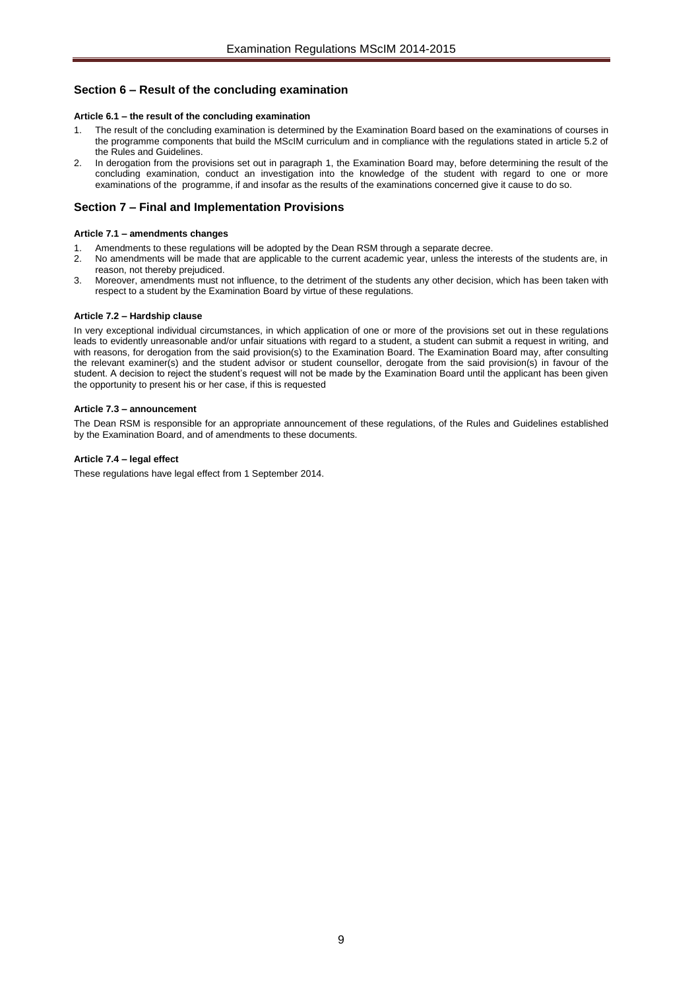# <span id="page-8-1"></span><span id="page-8-0"></span>**Section 6 – Result of the concluding examination**

#### **Article 6.1 – the result of the concluding examination**

- 1. The result of the concluding examination is determined by the Examination Board based on the examinations of courses in the programme components that build the MScIM curriculum and in compliance with the regulations stated in article 5.2 of the Rules and Guidelines.
- 2. In derogation from the provisions set out in paragraph 1, the Examination Board may, before determining the result of the concluding examination, conduct an investigation into the knowledge of the student with regard to one or more examinations of the programme, if and insofar as the results of the examinations concerned give it cause to do so.

# <span id="page-8-2"></span>**Section 7 – Final and Implementation Provisions**

#### <span id="page-8-3"></span>**Article 7.1 – amendments changes**

- 1. Amendments to these regulations will be adopted by the Dean RSM through a separate decree.
- 2. No amendments will be made that are applicable to the current academic year, unless the interests of the students are, in reason, not thereby prejudiced.
- 3. Moreover, amendments must not influence, to the detriment of the students any other decision, which has been taken with respect to a student by the Examination Board by virtue of these regulations.

#### <span id="page-8-4"></span>**Article 7.2 – Hardship clause**

In very exceptional individual circumstances, in which application of one or more of the provisions set out in these regulations leads to evidently unreasonable and/or unfair situations with regard to a student, a student can submit a request in writing, and with reasons, for derogation from the said provision(s) to the Examination Board. The Examination Board may, after consulting the relevant examiner(s) and the student advisor or student counsellor, derogate from the said provision(s) in favour of the student. A decision to reject the student's request will not be made by the Examination Board until the applicant has been given the opportunity to present his or her case, if this is requested

#### <span id="page-8-5"></span>**Article 7.3 – announcement**

The Dean RSM is responsible for an appropriate announcement of these regulations, of the Rules and Guidelines established by the Examination Board, and of amendments to these documents.

#### <span id="page-8-6"></span>**Article 7.4 – legal effect**

These regulations have legal effect from 1 September 2014.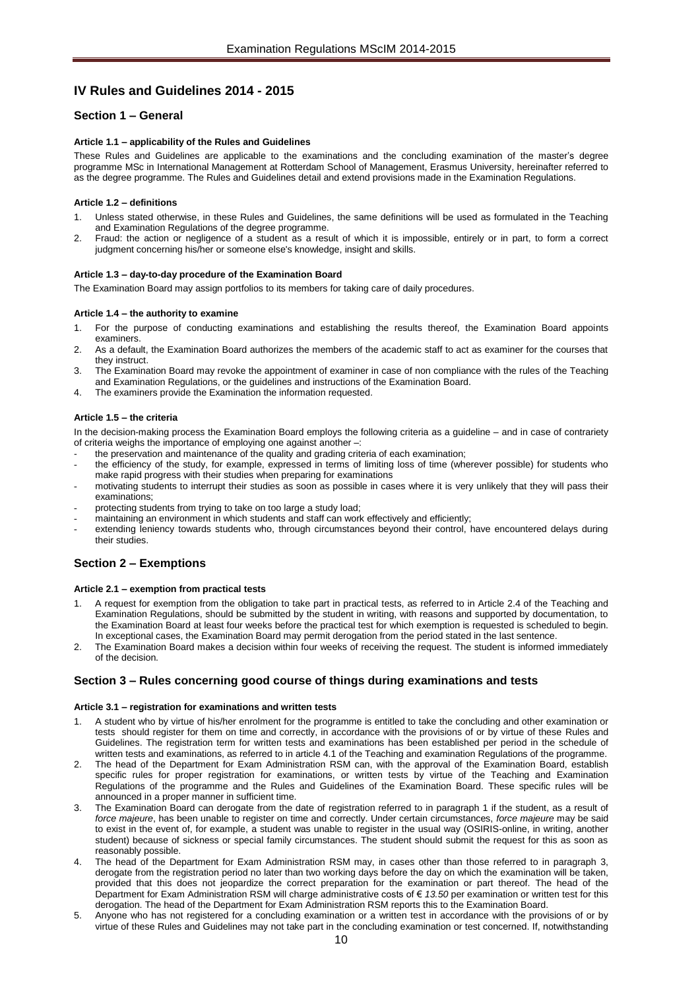# <span id="page-9-0"></span>**IV Rules and Guidelines 2014 - 2015**

# <span id="page-9-2"></span><span id="page-9-1"></span>**Section 1 – General**

#### **Article 1.1 – applicability of the Rules and Guidelines**

These Rules and Guidelines are applicable to the examinations and the concluding examination of the master's degree programme MSc in International Management at Rotterdam School of Management, Erasmus University, hereinafter referred to as the degree programme. The Rules and Guidelines detail and extend provisions made in the Examination Regulations.

#### <span id="page-9-3"></span>**Article 1.2 – definitions**

- Unless stated otherwise, in these Rules and Guidelines, the same definitions will be used as formulated in the Teaching and Examination Regulations of the degree programme.
- 2. Fraud: the action or negligence of a student as a result of which it is impossible, entirely or in part, to form a correct judgment concerning his/her or someone else's knowledge, insight and skills.

#### <span id="page-9-4"></span>**Article 1.3 – day-to-day procedure of the Examination Board**

<span id="page-9-5"></span>The Examination Board may assign portfolios to its members for taking care of daily procedures.

#### **Article 1.4 – the authority to examine**

- 1. For the purpose of conducting examinations and establishing the results thereof, the Examination Board appoints examiners.
- 2. As a default, the Examination Board authorizes the members of the academic staff to act as examiner for the courses that they instruct.
- 3. The Examination Board may revoke the appointment of examiner in case of non compliance with the rules of the Teaching and Examination Regulations, or the guidelines and instructions of the Examination Board.
- <span id="page-9-6"></span>4. The examiners provide the Examination the information requested.

#### **Article 1.5 – the criteria**

In the decision-making process the Examination Board employs the following criteria as a guideline – and in case of contrariety of criteria weighs the importance of employing one against another –:

- the preservation and maintenance of the quality and grading criteria of each examination;
- the efficiency of the study, for example, expressed in terms of limiting loss of time (wherever possible) for students who make rapid progress with their studies when preparing for examinations
- motivating students to interrupt their studies as soon as possible in cases where it is very unlikely that they will pass their examinations;
- protecting students from trying to take on too large a study load;
- maintaining an environment in which students and staff can work effectively and efficiently;
- extending leniency towards students who, through circumstances beyond their control, have encountered delays during their studies.

# <span id="page-9-8"></span><span id="page-9-7"></span>**Section 2 – Exemptions**

#### **Article 2.1 – exemption from practical tests**

- 1. A request for exemption from the obligation to take part in practical tests, as referred to in Article 2.4 of the Teaching and Examination Regulations, should be submitted by the student in writing, with reasons and supported by documentation, to the Examination Board at least four weeks before the practical test for which exemption is requested is scheduled to begin. In exceptional cases, the Examination Board may permit derogation from the period stated in the last sentence.
- 2. The Examination Board makes a decision within four weeks of receiving the request. The student is informed immediately of the decision.

# <span id="page-9-10"></span><span id="page-9-9"></span>**Section 3 – Rules concerning good course of things during examinations and tests**

#### **Article 3.1 – registration for examinations and written tests**

- 1. A student who by virtue of his/her enrolment for the programme is entitled to take the concluding and other examination or tests should register for them on time and correctly, in accordance with the provisions of or by virtue of these Rules and Guidelines. The registration term for written tests and examinations has been established per period in the schedule of written tests and examinations, as referred to in article 4.1 of the Teaching and examination Regulations of the programme.
- 2. The head of the Department for Exam Administration RSM can, with the approval of the Examination Board, establish specific rules for proper registration for examinations, or written tests by virtue of the Teaching and Examination Regulations of the programme and the Rules and Guidelines of the Examination Board. These specific rules will be announced in a proper manner in sufficient time.
- The Examination Board can derogate from the date of registration referred to in paragraph 1 if the student, as a result of *force majeure*, has been unable to register on time and correctly. Under certain circumstances, *force majeure* may be said to exist in the event of, for example, a student was unable to register in the usual way (OSIRIS-online, in writing, another student) because of sickness or special family circumstances. The student should submit the request for this as soon as reasonably possible.
- The head of the Department for Exam Administration RSM may, in cases other than those referred to in paragraph 3, derogate from the registration period no later than two working days before the day on which the examination will be taken, provided that this does not jeopardize the correct preparation for the examination or part thereof. The head of the Department for Exam Administration RSM will charge administrative costs of € *13.50* per examination or written test for this derogation. The head of the Department for Exam Administration RSM reports this to the Examination Board.
- 5. Anyone who has not registered for a concluding examination or a written test in accordance with the provisions of or by virtue of these Rules and Guidelines may not take part in the concluding examination or test concerned. If, notwithstanding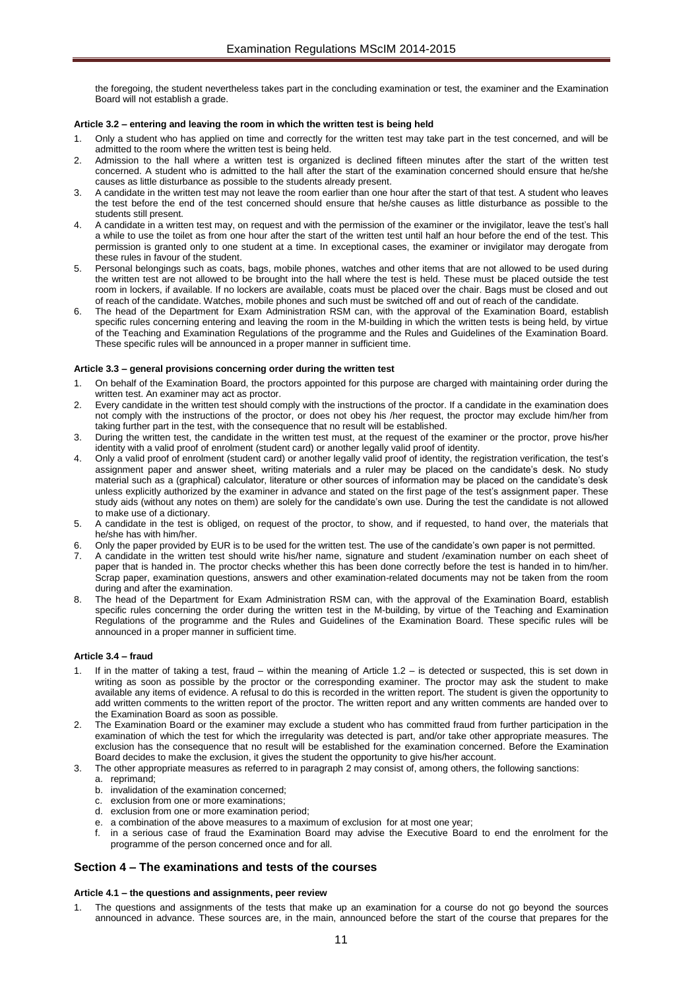the foregoing, the student nevertheless takes part in the concluding examination or test, the examiner and the Examination Board will not establish a grade.

#### <span id="page-10-0"></span>**Article 3.2 – entering and leaving the room in which the written test is being held**

- 1. Only a student who has applied on time and correctly for the written test may take part in the test concerned, and will be admitted to the room where the written test is being held.
- 2. Admission to the hall where a written test is organized is declined fifteen minutes after the start of the written test concerned. A student who is admitted to the hall after the start of the examination concerned should ensure that he/she causes as little disturbance as possible to the students already present.
- 3. A candidate in the written test may not leave the room earlier than one hour after the start of that test. A student who leaves the test before the end of the test concerned should ensure that he/she causes as little disturbance as possible to the students still present.
- 4. A candidate in a written test may, on request and with the permission of the examiner or the invigilator, leave the test's hall a while to use the toilet as from one hour after the start of the written test until half an hour before the end of the test. This permission is granted only to one student at a time. In exceptional cases, the examiner or invigilator may derogate from these rules in favour of the student.
- Personal belongings such as coats, bags, mobile phones, watches and other items that are not allowed to be used during the written test are not allowed to be brought into the hall where the test is held. These must be placed outside the test room in lockers, if available. If no lockers are available, coats must be placed over the chair. Bags must be closed and out of reach of the candidate. Watches, mobile phones and such must be switched off and out of reach of the candidate.
- 6. The head of the Department for Exam Administration RSM can, with the approval of the Examination Board, establish specific rules concerning entering and leaving the room in the M-building in which the written tests is being held, by virtue of the Teaching and Examination Regulations of the programme and the Rules and Guidelines of the Examination Board. These specific rules will be announced in a proper manner in sufficient time.

#### <span id="page-10-1"></span>**Article 3.3 – general provisions concerning order during the written test**

- 1. On behalf of the Examination Board, the proctors appointed for this purpose are charged with maintaining order during the written test. An examiner may act as proctor.
- 2. Every candidate in the written test should comply with the instructions of the proctor. If a candidate in the examination does not comply with the instructions of the proctor, or does not obey his /her request, the proctor may exclude him/her from taking further part in the test, with the consequence that no result will be established.
- 3. During the written test, the candidate in the written test must, at the request of the examiner or the proctor, prove his/her identity with a valid proof of enrolment (student card) or another legally valid proof of identity.
- 4. Only a valid proof of enrolment (student card) or another legally valid proof of identity, the registration verification, the test's assignment paper and answer sheet, writing materials and a ruler may be placed on the candidate's desk. No study material such as a (graphical) calculator, literature or other sources of information may be placed on the candidate's desk unless explicitly authorized by the examiner in advance and stated on the first page of the test's assignment paper. These study aids (without any notes on them) are solely for the candidate's own use. During the test the candidate is not allowed to make use of a dictionary.
- 5. A candidate in the test is obliged, on request of the proctor, to show, and if requested, to hand over, the materials that he/she has with him/her.
- 6. Only the paper provided by EUR is to be used for the written test. The use of the candidate's own paper is not permitted.
- 7. A candidate in the written test should write his/her name, signature and student /examination number on each sheet of paper that is handed in. The proctor checks whether this has been done correctly before the test is handed in to him/her. Scrap paper, examination questions, answers and other examination-related documents may not be taken from the room during and after the examination.
- 8. The head of the Department for Exam Administration RSM can, with the approval of the Examination Board, establish specific rules concerning the order during the written test in the M-building, by virtue of the Teaching and Examination Regulations of the programme and the Rules and Guidelines of the Examination Board. These specific rules will be announced in a proper manner in sufficient time.

#### <span id="page-10-2"></span>**Article 3.4 – fraud**

- If in the matter of taking a test, fraud within the meaning of Article 1.2 is detected or suspected, this is set down in writing as soon as possible by the proctor or the corresponding examiner. The proctor may ask the student to make available any items of evidence. A refusal to do this is recorded in the written report. The student is given the opportunity to add written comments to the written report of the proctor. The written report and any written comments are handed over to the Examination Board as soon as possible.
- The Examination Board or the examiner may exclude a student who has committed fraud from further participation in the examination of which the test for which the irregularity was detected is part, and/or take other appropriate measures. The exclusion has the consequence that no result will be established for the examination concerned. Before the Examination Board decides to make the exclusion, it gives the student the opportunity to give his/her account.
- The other appropriate measures as referred to in paragraph 2 may consist of, among others, the following sanctions:
	- a. reprimand;
	- b. invalidation of the examination concerned;
	- c. exclusion from one or more examinations;<br>d exclusion from one or more examination po
	- exclusion from one or more examination period;
	- e. a combination of the above measures to a maximum of exclusion for at most one year;
	- in a serious case of fraud the Examination Board may advise the Executive Board to end the enrolment for the programme of the person concerned once and for all.

# <span id="page-10-3"></span>**Section 4 – The examinations and tests of the courses**

# <span id="page-10-4"></span>**Article 4.1 – the questions and assignments, peer review**

The questions and assignments of the tests that make up an examination for a course do not go beyond the sources announced in advance. These sources are, in the main, announced before the start of the course that prepares for the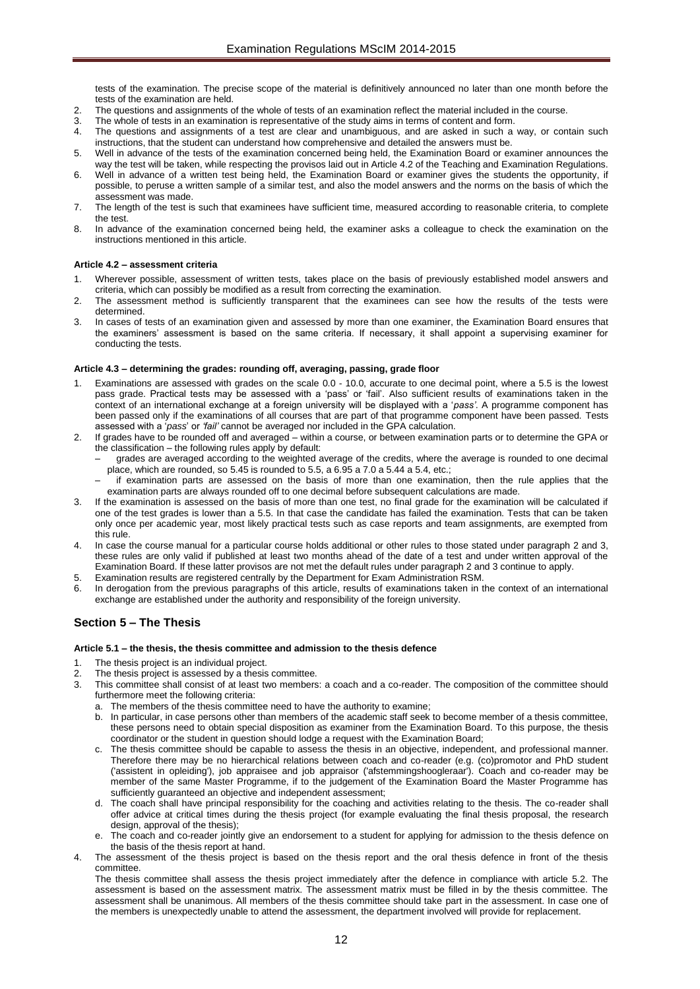tests of the examination. The precise scope of the material is definitively announced no later than one month before the tests of the examination are held.

- 2. The questions and assignments of the whole of tests of an examination reflect the material included in the course.
- The whole of tests in an examination is representative of the study aims in terms of content and form.
- 4. The questions and assignments of a test are clear and unambiguous, and are asked in such a way, or contain such instructions, that the student can understand how comprehensive and detailed the answers must be.
- 5. Well in advance of the tests of the examination concerned being held, the Examination Board or examiner announces the way the test will be taken, while respecting the provisos laid out in Article 4.2 of the Teaching and Examination Regulations.
- 6. Well in advance of a written test being held, the Examination Board or examiner gives the students the opportunity, if possible, to peruse a written sample of a similar test, and also the model answers and the norms on the basis of which the assessment was made.
- 7. The length of the test is such that examinees have sufficient time, measured according to reasonable criteria, to complete the test.
- 8. In advance of the examination concerned being held, the examiner asks a colleague to check the examination on the instructions mentioned in this article.

#### <span id="page-11-0"></span>**Article 4.2 – assessment criteria**

- 1. Wherever possible, assessment of written tests, takes place on the basis of previously established model answers and criteria, which can possibly be modified as a result from correcting the examination.
- 2. The assessment method is sufficiently transparent that the examinees can see how the results of the tests were determined.
- In cases of tests of an examination given and assessed by more than one examiner, the Examination Board ensures that the examiners' assessment is based on the same criteria. If necessary, it shall appoint a supervising examiner for conducting the tests.

#### <span id="page-11-1"></span>**Article 4.3 – determining the grades: rounding off, averaging, passing, grade floor**

- 1. Examinations are assessed with grades on the scale 0.0 10.0, accurate to one decimal point, where a 5.5 is the lowest pass grade. Practical tests may be assessed with a 'pass' or 'fail'. Also sufficient results of examinations taken in the context of an international exchange at a foreign university will be displayed with a '*pass'*. A programme component has been passed only if the examinations of all courses that are part of that programme component have been passed. Tests assessed with a '*pass*' or *'fail'* cannot be averaged nor included in the GPA calculation.
- 2. If grades have to be rounded off and averaged within a course, or between examination parts or to determine the GPA or the classification – the following rules apply by default:
	- grades are averaged according to the weighted average of the credits, where the average is rounded to one decimal place, which are rounded, so 5.45 is rounded to 5.5, a 6.95 a 7.0 a 5.44 a 5.4, etc.;
	- if examination parts are assessed on the basis of more than one examination, then the rule applies that the examination parts are always rounded off to one decimal before subsequent calculations are made.
- 3. If the examination is assessed on the basis of more than one test, no final grade for the examination will be calculated if one of the test grades is lower than a 5.5. In that case the candidate has failed the examination. Tests that can be taken only once per academic year, most likely practical tests such as case reports and team assignments, are exempted from this rule.
- In case the course manual for a particular course holds additional or other rules to those stated under paragraph 2 and 3, these rules are only valid if published at least two months ahead of the date of a test and under written approval of the Examination Board. If these latter provisos are not met the default rules under paragraph 2 and 3 continue to apply.
- 5. Examination results are registered centrally by the Department for Exam Administration RSM.
- 6. In derogation from the previous paragraphs of this article, results of examinations taken in the context of an international exchange are established under the authority and responsibility of the foreign university.

# <span id="page-11-3"></span><span id="page-11-2"></span>**Section 5 – The Thesis**

#### **Article 5.1 – the thesis, the thesis committee and admission to the thesis defence**

- 1. The thesis project is an individual project.
- 2. The thesis project is assessed by a thesis committee.
- 3. This committee shall consist of at least two members: a coach and a co-reader. The composition of the committee should furthermore meet the following criteria:
	- a. The members of the thesis committee need to have the authority to examine;
	- b. In particular, in case persons other than members of the academic staff seek to become member of a thesis committee, these persons need to obtain special disposition as examiner from the Examination Board. To this purpose, the thesis coordinator or the student in question should lodge a request with the Examination Board;
	- c. The thesis committee should be capable to assess the thesis in an objective, independent, and professional manner. Therefore there may be no hierarchical relations between coach and co-reader (e.g. (co)promotor and PhD student ('assistent in opleiding'), job appraisee and job appraisor ('afstemmingshoogleraar'). Coach and co-reader may be member of the same Master Programme, if to the judgement of the Examination Board the Master Programme has sufficiently guaranteed an objective and independent assessment;
	- d. The coach shall have principal responsibility for the coaching and activities relating to the thesis. The co-reader shall offer advice at critical times during the thesis project (for example evaluating the final thesis proposal, the research design, approval of the thesis):
	- e. The coach and co-reader jointly give an endorsement to a student for applying for admission to the thesis defence on the basis of the thesis report at hand.
- The assessment of the thesis project is based on the thesis report and the oral thesis defence in front of the thesis committee.

The thesis committee shall assess the thesis project immediately after the defence in compliance with article 5.2. The assessment is based on the assessment matrix. The assessment matrix must be filled in by the thesis committee. The assessment shall be unanimous. All members of the thesis committee should take part in the assessment. In case one of the members is unexpectedly unable to attend the assessment, the department involved will provide for replacement.